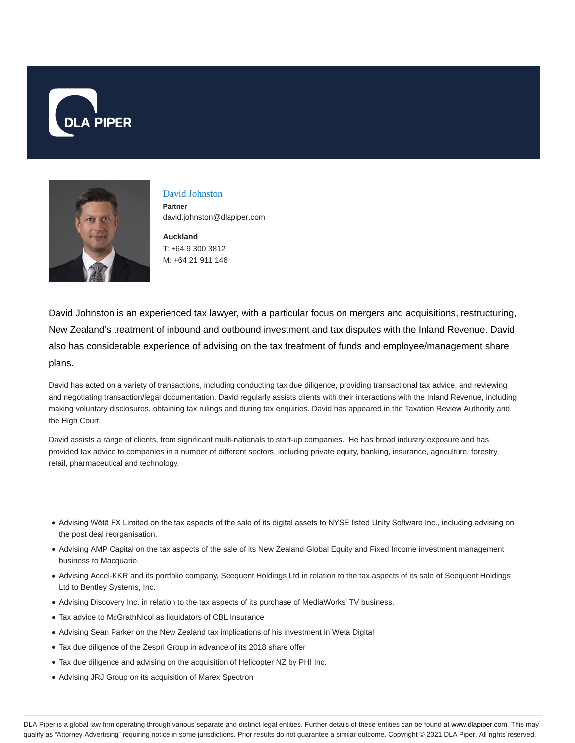



# David Johnston

**Partner** david.johnston@dlapiper.com

**Auckland** T: +64 9 300 3812 M: +64 21 911 146

David Johnston is an experienced tax lawyer, with a particular focus on mergers and acquisitions, restructuring, New Zealand's treatment of inbound and outbound investment and tax disputes with the Inland Revenue. David also has considerable experience of advising on the tax treatment of funds and employee/management share plans.

David has acted on a variety of transactions, including conducting tax due diligence, providing transactional tax advice, and reviewing and negotiating transaction/legal documentation. David regularly assists clients with their interactions with the Inland Revenue, including making voluntary disclosures, obtaining tax rulings and during tax enquiries. David has appeared in the Taxation Review Authority and the High Court.

David assists a range of clients, from significant multi-nationals to start-up companies. He has broad industry exposure and has provided tax advice to companies in a number of different sectors, including private equity, banking, insurance, agriculture, forestry, retail, pharmaceutical and technology.

- Advising Wētā FX Limited on the tax aspects of the sale of its digital assets to NYSE listed Unity Software Inc., including advising on the post deal reorganisation.
- Advising AMP Capital on the tax aspects of the sale of its New Zealand Global Equity and Fixed Income investment management business to Macquarie.
- Advising Accel-KKR and its portfolio company, Seequent Holdings Ltd in relation to the tax aspects of its sale of Seequent Holdings Ltd to Bentley Systems, Inc.
- Advising Discovery Inc. in relation to the tax aspects of its purchase of MediaWorks' TV business.
- Tax advice to McGrathNicol as liquidators of CBL Insurance
- Advising Sean Parker on the New Zealand tax implications of his investment in Weta Digital
- Tax due diligence of the Zespri Group in advance of its 2018 share offer
- Tax due diligence and advising on the acquisition of Helicopter NZ by PHI Inc.
- Advising JRJ Group on its acquisition of Marex Spectron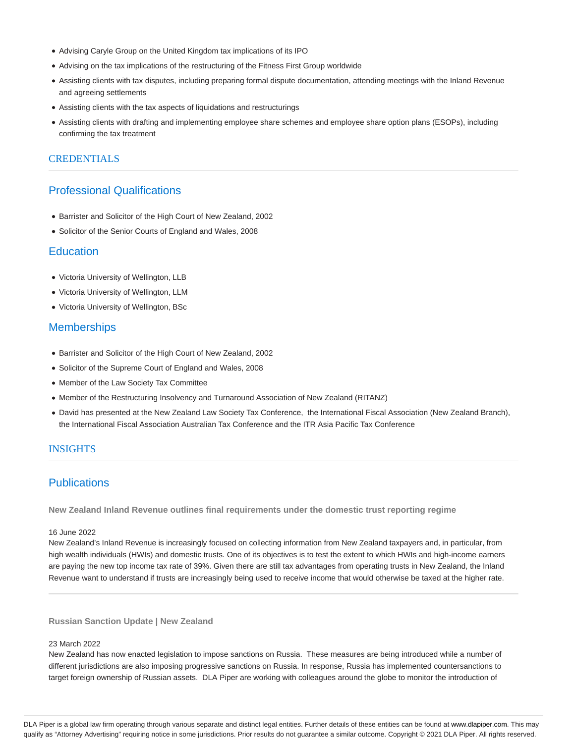- Advising Caryle Group on the United Kingdom tax implications of its IPO
- Advising on the tax implications of the restructuring of the Fitness First Group worldwide
- Assisting clients with tax disputes, including preparing formal dispute documentation, attending meetings with the Inland Revenue and agreeing settlements
- Assisting clients with the tax aspects of liquidations and restructurings
- Assisting clients with drafting and implementing employee share schemes and employee share option plans (ESOPs), including confirming the tax treatment

## **CREDENTIALS**

# Professional Qualifications

- Barrister and Solicitor of the High Court of New Zealand, 2002
- Solicitor of the Senior Courts of England and Wales, 2008

## **Education**

- Victoria University of Wellington, LLB
- Victoria University of Wellington, LLM
- Victoria University of Wellington, BSc

## **Memberships**

- Barrister and Solicitor of the High Court of New Zealand, 2002
- Solicitor of the Supreme Court of England and Wales, 2008
- Member of the Law Society Tax Committee
- Member of the Restructuring Insolvency and Turnaround Association of New Zealand (RITANZ)
- David has presented at the New Zealand Law Society Tax Conference, the International Fiscal Association (New Zealand Branch), the International Fiscal Association Australian Tax Conference and the ITR Asia Pacific Tax Conference

# INSIGHTS

# **Publications**

**New Zealand Inland Revenue outlines final requirements under the domestic trust reporting regime**

## 16 June 2022

New Zealand's Inland Revenue is increasingly focused on collecting information from New Zealand taxpayers and, in particular, from high wealth individuals (HWIs) and domestic trusts. One of its objectives is to test the extent to which HWIs and high-income earners are paying the new top income tax rate of 39%. Given there are still tax advantages from operating trusts in New Zealand, the Inland Revenue want to understand if trusts are increasingly being used to receive income that would otherwise be taxed at the higher rate.

## **Russian Sanction Update | New Zealand**

## 23 March 2022

New Zealand has now enacted legislation to impose sanctions on Russia. These measures are being introduced while a number of different jurisdictions are also imposing progressive sanctions on Russia. In response, Russia has implemented countersanctions to target foreign ownership of Russian assets. DLA Piper are working with colleagues around the globe to monitor the introduction of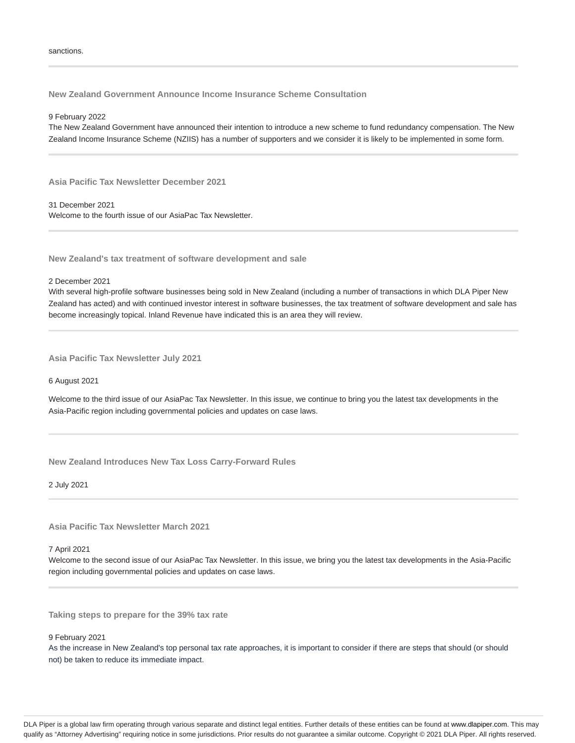**New Zealand Government Announce Income Insurance Scheme Consultation**

#### 9 February 2022

The New Zealand Government have announced their intention to introduce a new scheme to fund redundancy compensation. The New Zealand Income Insurance Scheme (NZIIS) has a number of supporters and we consider it is likely to be implemented in some form.

**Asia Pacific Tax Newsletter December 2021**

31 December 2021 Welcome to the fourth issue of our AsiaPac Tax Newsletter.

**New Zealand's tax treatment of software development and sale**

2 December 2021

With several high-profile software businesses being sold in New Zealand (including a number of transactions in which DLA Piper New Zealand has acted) and with continued investor interest in software businesses, the tax treatment of software development and sale has become increasingly topical. Inland Revenue have indicated this is an area they will review.

**Asia Pacific Tax Newsletter July 2021**

6 August 2021

Welcome to the third issue of our AsiaPac Tax Newsletter. In this issue, we continue to bring you the latest tax developments in the Asia-Pacific region including governmental policies and updates on case laws.

**New Zealand Introduces New Tax Loss Carry-Forward Rules**

2 July 2021

**Asia Pacific Tax Newsletter March 2021**

7 April 2021

Welcome to the second issue of our AsiaPac Tax Newsletter. In this issue, we bring you the latest tax developments in the Asia-Pacific region including governmental policies and updates on case laws.

**Taking steps to prepare for the 39% tax rate**

9 February 2021

As the increase in New Zealand's top personal tax rate approaches, it is important to consider if there are steps that should (or should not) be taken to reduce its immediate impact.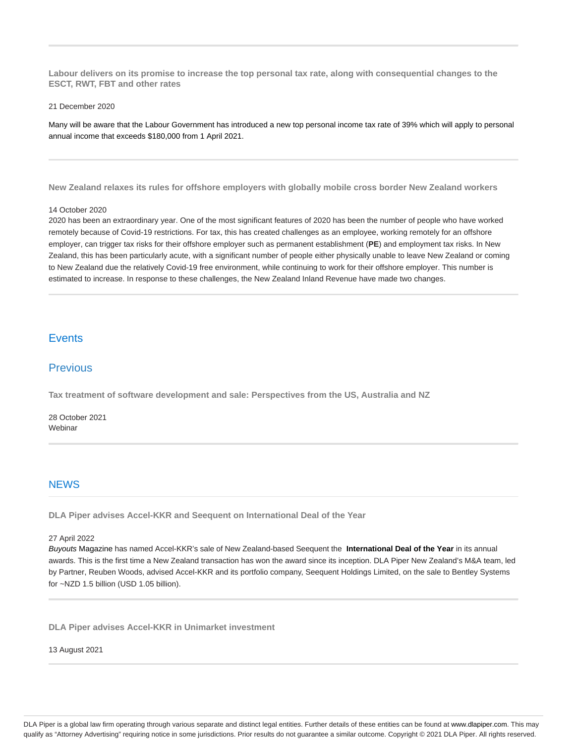**Labour delivers on its promise to increase the top personal tax rate, along with consequential changes to the ESCT, RWT, FBT and other rates**

#### 21 December 2020

Many will be aware that the Labour Government has introduced a new top personal income tax rate of 39% which will apply to personal annual income that exceeds \$180,000 from 1 April 2021.

**New Zealand relaxes its rules for offshore employers with globally mobile cross border New Zealand workers**

#### 14 October 2020

2020 has been an extraordinary year. One of the most significant features of 2020 has been the number of people who have worked remotely because of Covid-19 restrictions. For tax, this has created challenges as an employee, working remotely for an offshore employer, can trigger tax risks for their offshore employer such as permanent establishment (**PE**) and employment tax risks. In New Zealand, this has been particularly acute, with a significant number of people either physically unable to leave New Zealand or coming to New Zealand due the relatively Covid-19 free environment, while continuing to work for their offshore employer. This number is estimated to increase. In response to these challenges, the New Zealand Inland Revenue have made two changes.

# **Events**

## **Previous**

**Tax treatment of software development and sale: Perspectives from the US, Australia and NZ**

28 October 2021 Webinar

## **NEWS**

**DLA Piper advises Accel-KKR and Seequent on International Deal of the Year**

#### 27 April 2022

Buyouts Magazine has named Accel-KKR's sale of New Zealand-based Seequent the **International Deal of the Year** in its annual awards. This is the first time a New Zealand transaction has won the award since its inception. DLA Piper New Zealand's M&A team, led by Partner, Reuben Woods, advised Accel-KKR and its portfolio company, Seequent Holdings Limited, on the sale to Bentley Systems for ~NZD 1.5 billion (USD 1.05 billion).

**DLA Piper advises Accel-KKR in Unimarket investment**

### 13 August 2021

DLA Piper is a global law firm operating through various separate and distinct legal entities. Further details of these entities can be found at www.dlapiper.com. This may qualify as "Attorney Advertising" requiring notice in some jurisdictions. Prior results do not guarantee a similar outcome. Copyright @ 2021 DLA Piper. All rights reserved.